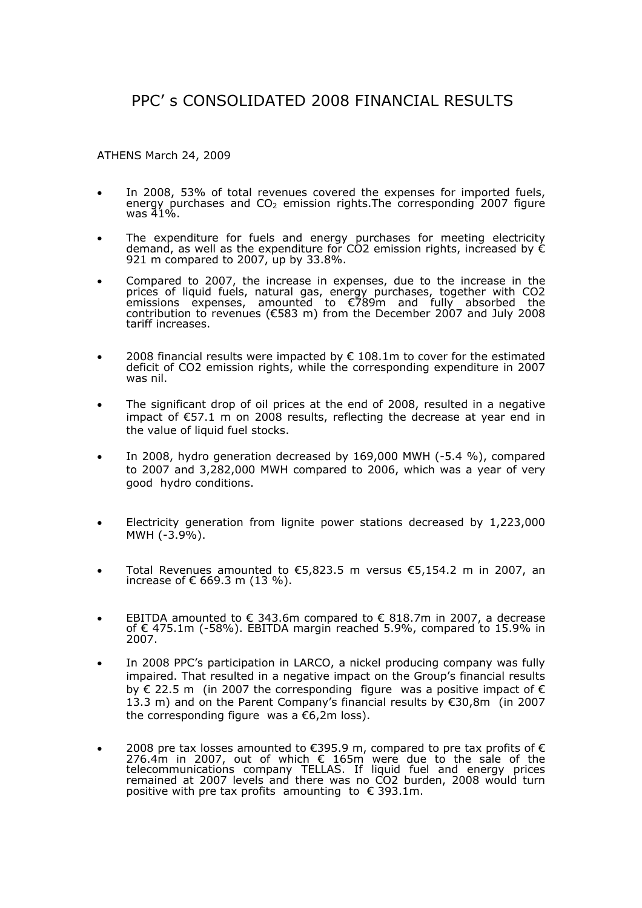# PPC' s CONSOLIDATED 2008 FINANCIAL RESULTS

ATHENS March 24, 2009

- In 2008, 53% of total revenues covered the expenses for imported fuels, energy purchases and  $CO<sub>2</sub>$  emission rights. The corresponding 2007 figure was 41%.
- The expenditure for fuels and energy purchases for meeting electricity demand, as well as the expenditure for CO2 emission rights, increased by  $\epsilon$ 921 m compared to 2007, up by 33.8%.
- Compared to 2007, the increase in expenses, due to the increase in the prices of liquid fuels, natural gas, energy purchases, together with CO2 emissions expenses, amounted to €789m and fully absorbed the contribution to revenues (€583 m) from the December 2007 and July 2008 tariff increases.
- 2008 financial results were impacted by  $\epsilon$  108.1m to cover for the estimated deficit of CO2 emission rights, while the corresponding expenditure in 2007 was nil.
- The significant drop of oil prices at the end of 2008, resulted in a negative impact of €57.1 m on 2008 results, reflecting the decrease at year end in the value of liquid fuel stocks.
- In 2008, hydro generation decreased by 169,000 MWH (-5.4 %), compared to 2007 and 3,282,000 MWH compared to 2006, which was a year of very good hydro conditions.
- Electricity generation from lignite power stations decreased by 1,223,000 ΜWH (-3.9%).
- Total Revenues amounted to  $\epsilon$ 5,823.5 m versus  $\epsilon$ 5,154.2 m in 2007, an increase of € 669.3 m (13 %).
- EBITDA amounted to  $∈$  343.6m compared to  $∈$  818.7m in 2007, a decrease of € 475.1m (-58%). EBITDA margin reached 5.9%, compared to 15.9% in 2007.
- In 2008 PPC's participation in LARCO, a nickel producing company was fully impaired. That resulted in a negative impact on the Group's financial results by  $\epsilon$  22.5 m (in 2007 the corresponding figure was a positive impact of  $\epsilon$ 13.3 m) and on the Parent Company's financial results by €30,8m (in 2007 the corresponding figure was a  $\epsilon$ 6,2m loss).
- 2008 pre tax losses amounted to €395.9 m, compared to pre tax profits of € 276.4m in 2007, out of which  $€$  165m were due to the sale of the telecommunications company TELLAS. If liquid fuel and energy prices remained at 2007 levels and there was no CO2 burden, 2008 would turn positive with pre tax profits amounting to  $\epsilon$  393.1m.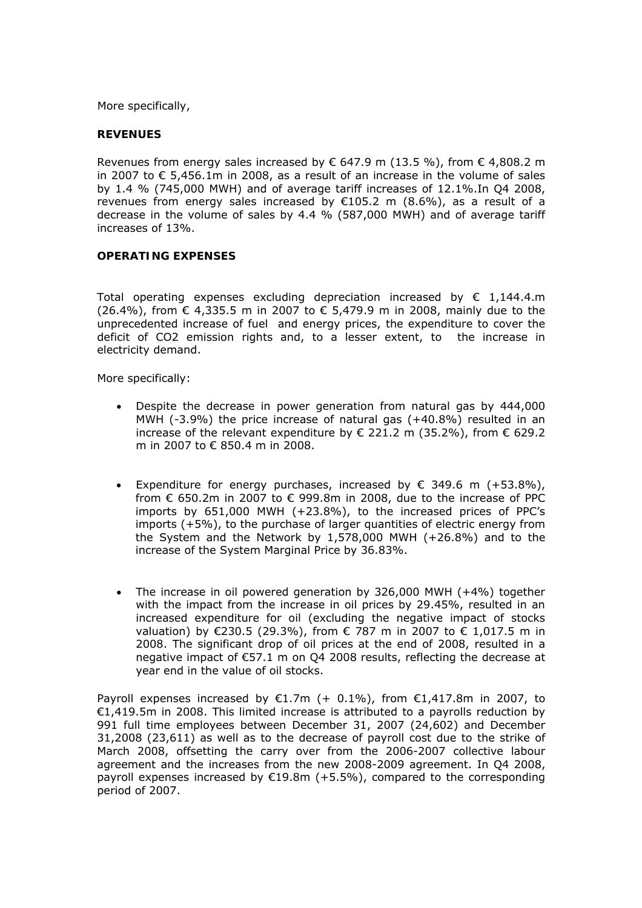More specifically,

#### **REVENUES**

Revenues from energy sales increased by  $\epsilon$  647.9 m (13.5 %), from  $\epsilon$  4,808.2 m in 2007 to € 5,456.1m in 2008, as a result of an increase in the volume of sales by 1.4 % (745,000 MWH) and of average tariff increases of 12.1%.In Q4 2008, revenues from energy sales increased by  $E105.2$  m (8.6%), as a result of a decrease in the volume of sales by 4.4 % (587,000 MWH) and of average tariff increases of 13%.

#### **OPERATING EXPENSES**

Total operating expenses excluding depreciation increased by  $\epsilon$  1,144.4.m (26.4%), from € 4,335.5 m in 2007 to € 5,479.9 m in 2008, mainly due to the unprecedented increase of fuel and energy prices, the expenditure to cover the deficit of CO2 emission rights and, to a lesser extent, to the increase in electricity demand.

More specifically:

- Despite the decrease in power generation from natural gas by 444,000 MWH  $(-3.9%)$  the price increase of natural gas  $(+40.8%)$  resulted in an increase of the relevant expenditure by € 221.2 m (35.2%), from € 629.2 m in 2007 to € 850.4 m in 2008.
- Expenditure for energy purchases, increased by  $\epsilon$  349.6 m (+53.8%), from € 650.2m in 2007 to € 999.8m in 2008, due to the increase of PPC imports by 651,000 MWH (+23.8%), to the increased prices of PPC's imports (+5%), to the purchase of larger quantities of electric energy from the System and the Network by 1,578,000 MWH (+26.8%) and to the increase of the System Marginal Price by 36.83%.
- The increase in oil powered generation by 326,000 MWH (+4%) together with the impact from the increase in oil prices by 29.45%, resulted in an increased expenditure for oil (excluding the negative impact of stocks valuation) by €230.5 (29.3%), from € 787 m in 2007 to € 1,017.5 m in 2008. The significant drop of oil prices at the end of 2008, resulted in a negative impact of €57.1 m on Q4 2008 results, reflecting the decrease at year end in the value of oil stocks.

Payroll expenses increased by  $\epsilon$ 1.7m (+ 0.1%), from  $\epsilon$ 1,417.8m in 2007, to €1,419.5m in 2008. This limited increase is attributed to a payrolls reduction by 991 full time employees between December 31, 2007 (24,602) and December 31,2008 (23,611) as well as to the decrease of payroll cost due to the strike of March 2008, offsetting the carry over from the 2006-2007 collective labour agreement and the increases from the new 2008-2009 agreement. In Q4 2008, payroll expenses increased by  $£19.8m$  (+5.5%), compared to the corresponding period of 2007.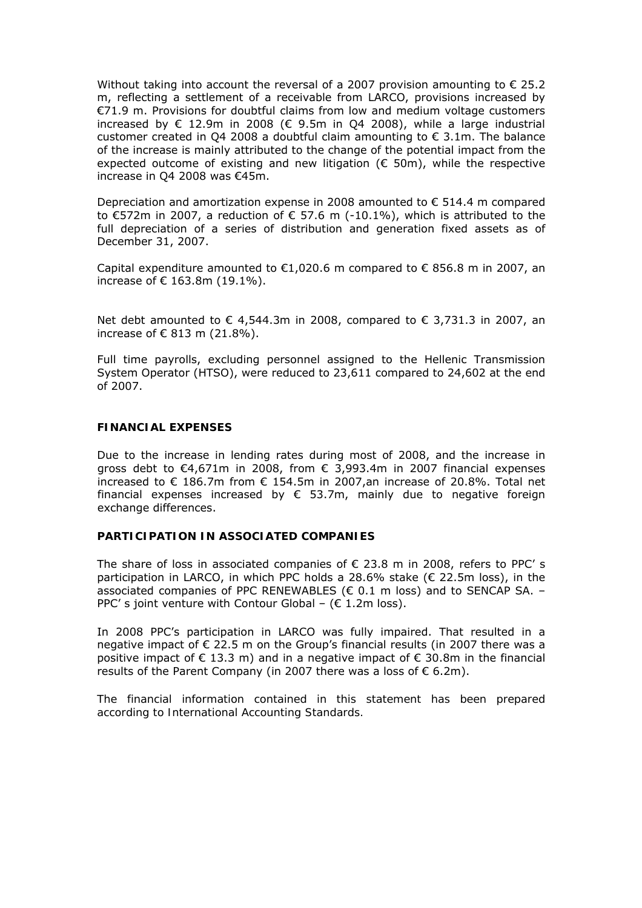Without taking into account the reversal of a 2007 provision amounting to  $\epsilon$  25.2 m, reflecting a settlement of a receivable from LARCO, provisions increased by €71.9 m. Provisions for doubtful claims from low and medium voltage customers increased by  $\in$  12.9m in 2008 ( $\in$  9.5m in O4 2008), while a large industrial customer created in O4 2008 a doubtful claim amounting to  $\epsilon$  3.1m. The balance of the increase is mainly attributed to the change of the potential impact from the expected outcome of existing and new litigation ( $\epsilon$  50m), while the respective increase in Q4 2008 was €45m.

Depreciation and amortization expense in 2008 amounted to  $\epsilon$  514.4 m compared to €572m in 2007, a reduction of € 57.6 m (-10.1%), which is attributed to the full depreciation of a series of distribution and generation fixed assets as of December 31, 2007.

Capital expenditure amounted to  $\epsilon$ 1,020.6 m compared to  $\epsilon$  856.8 m in 2007, an increase of € 163.8m (19.1%).

Net debt amounted to € 4,544.3m in 2008, compared to € 3,731.3 in 2007, an increase of € 813 m (21.8%).

Full time payrolls, excluding personnel assigned to the Hellenic Transmission System Operator (HTSO), were reduced to 23,611 compared to 24,602 at the end of 2007.

#### **FINANCIAL EXPENSES**

Due to the increase in lending rates during most of 2008, and the increase in gross debt to €4,671m in 2008, from € 3,993.4m in 2007 financial expenses increased to € 186.7m from  $∈$  154.5m in 2007,an increase of 20.8%. Total net financial expenses increased by  $\epsilon$  53.7m, mainly due to negative foreign exchange differences.

### **PARTICIPATION IN ASSOCIATED COMPANIES**

The share of loss in associated companies of  $\epsilon$  23.8 m in 2008, refers to PPC' s participation in LARCO, in which PPC holds a 28.6% stake ( $\epsilon$  22.5m loss), in the associated companies of PPC RENEWABLES ( $\epsilon$  0.1 m loss) and to SENCAP SA. -PPC' s joint venture with Contour Global – ( $\epsilon$  1.2m loss).

In 2008 PPC's participation in LARCO was fully impaired. That resulted in a negative impact of € 22.5 m on the Group's financial results (in 2007 there was a positive impact of  $\epsilon$  13.3 m) and in a negative impact of  $\epsilon$  30.8m in the financial results of the Parent Company (in 2007 there was a loss of  $\epsilon$  6.2m).

*The financial information contained in this statement has been prepared according to International Accounting Standards.*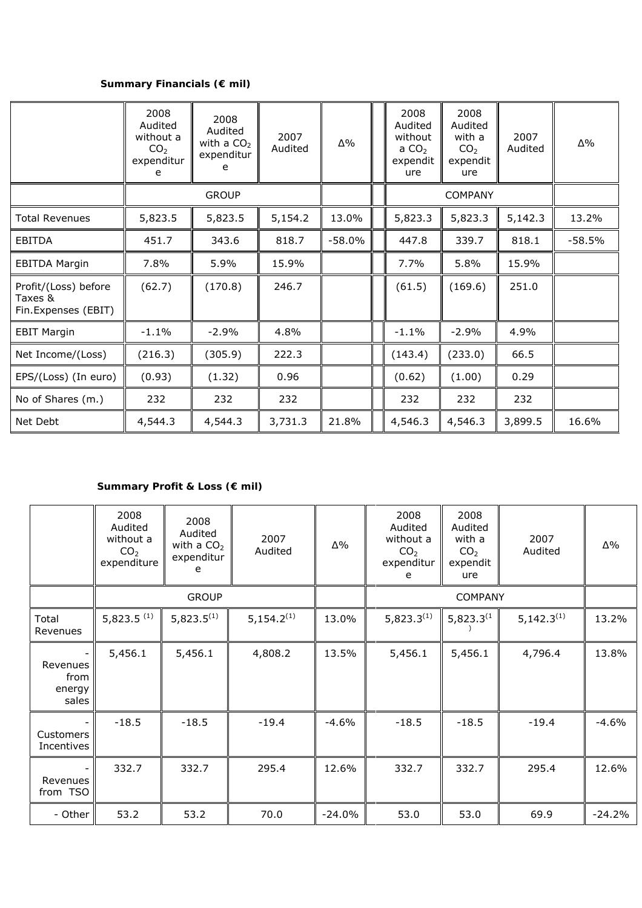# **Summary Financials (€ mil)**

|                                                        | 2008<br>Audited<br>without a<br>CO <sub>2</sub><br>expenditur<br>e | 2008<br>Audited<br>with a $CO2$<br>expenditur<br>e | 2007<br>Audited | Δ%       | 2008<br>Audited<br>without<br>a $CO2$<br>expendit<br>ure | 2008<br>Audited<br>with a<br>CO <sub>2</sub><br>expendit<br>ure | 2007<br>Audited | $\Delta\%$ |
|--------------------------------------------------------|--------------------------------------------------------------------|----------------------------------------------------|-----------------|----------|----------------------------------------------------------|-----------------------------------------------------------------|-----------------|------------|
|                                                        | <b>GROUP</b>                                                       |                                                    |                 |          | <b>COMPANY</b>                                           |                                                                 |                 |            |
| Total Revenues                                         | 5,823.5                                                            | 5,823.5                                            | 5,154.2         | 13.0%    | 5,823.3                                                  | 5,823.3                                                         | 5,142.3         | 13.2%      |
| <b>EBITDA</b>                                          | 451.7                                                              | 343.6                                              | 818.7           | $-58.0%$ | 447.8                                                    | 339.7                                                           | 818.1           | $-58.5%$   |
| <b>EBITDA Margin</b>                                   | 7.8%                                                               | 5.9%                                               | 15.9%           |          | 7.7%                                                     | 5.8%                                                            | 15.9%           |            |
| Profit/(Loss) before<br>Taxes &<br>Fin.Expenses (EBIT) | (62.7)                                                             | (170.8)                                            | 246.7           |          | (61.5)                                                   | (169.6)                                                         | 251.0           |            |
| <b>EBIT Margin</b>                                     | $-1.1%$                                                            | $-2.9%$                                            | 4.8%            |          | $-1.1%$                                                  | $-2.9%$                                                         | 4.9%            |            |
| Net Income/(Loss)                                      | (216.3)                                                            | (305.9)                                            | 222.3           |          | (143.4)                                                  | (233.0)                                                         | 66.5            |            |
| EPS/(Loss) (In euro)                                   | (0.93)                                                             | (1.32)                                             | 0.96            |          | (0.62)                                                   | (1.00)                                                          | 0.29            |            |
| No of Shares (m.)                                      | 232                                                                | 232                                                | 232             |          | 232                                                      | 232                                                             | 232             |            |
| Net Debt                                               | 4,544.3                                                            | 4,544.3                                            | 3,731.3         | 21.8%    | 4,546.3                                                  | 4,546.3                                                         | 3,899.5         | 16.6%      |

# **Summary Profit & Loss (€ mil)**

|                                     | 2008<br>Audited<br>without a<br>CO <sub>2</sub><br>expenditure | 2008<br>Audited<br>with a $CO2$<br>expenditur<br>e | 2007<br>Audited        | Δ%       | 2008<br>Audited<br>without a<br>CO <sub>2</sub><br>expenditur<br>e | 2008<br>Audited<br>with a<br>CO <sub>2</sub><br>expendit<br>ure | 2007<br>Audited        | $\Delta\%$ |
|-------------------------------------|----------------------------------------------------------------|----------------------------------------------------|------------------------|----------|--------------------------------------------------------------------|-----------------------------------------------------------------|------------------------|------------|
|                                     |                                                                | <b>GROUP</b>                                       |                        |          |                                                                    |                                                                 |                        |            |
| Total<br>Revenues                   | 5,823.5 $(1)$                                                  | $5,823.5^{(1)}$                                    | 5,154.2 <sup>(1)</sup> | 13.0%    | $5,823.3^{(1)}$                                                    | $5,823.3^{(1)}$                                                 | 5,142.3 <sup>(1)</sup> | 13.2%      |
| Revenues<br>from<br>energy<br>sales | 5,456.1                                                        | 5,456.1                                            | 4,808.2                | 13.5%    | 5,456.1                                                            | 5,456.1                                                         | 4,796.4                | 13.8%      |
| Customers<br>Incentives             | $-18.5$                                                        | $-18.5$                                            | $-19.4$                | $-4.6%$  | $-18.5$                                                            | $-18.5$                                                         | $-19.4$                | $-4.6%$    |
| Revenues<br>from TSO                | 332.7                                                          | 332.7                                              | 295.4                  | 12.6%    | 332.7                                                              | 332.7                                                           | 295.4                  | 12.6%      |
| - Other                             | 53.2                                                           | 53.2                                               | 70.0                   | $-24.0%$ | 53.0                                                               | 53.0                                                            | 69.9                   | $-24.2%$   |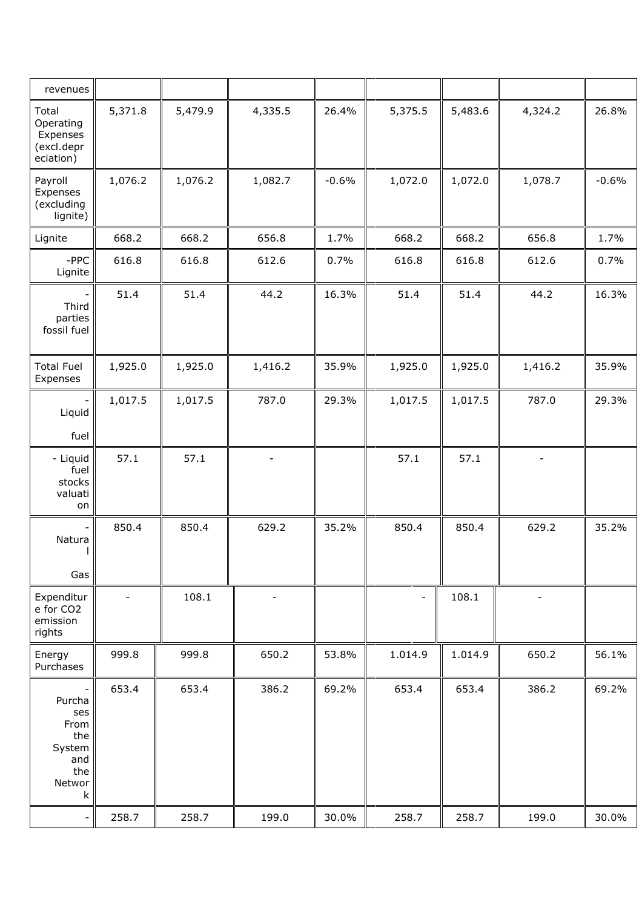| revenues                                                                 |                |         |                |         |                          |         |                          |         |
|--------------------------------------------------------------------------|----------------|---------|----------------|---------|--------------------------|---------|--------------------------|---------|
| Total<br>Operating<br>Expenses<br>(excl.depr<br>eciation)                | 5,371.8        | 5,479.9 | 4,335.5        | 26.4%   | 5,375.5                  | 5,483.6 | 4,324.2                  | 26.8%   |
| Payroll<br>Expenses<br>(excluding<br>lignite)                            | 1,076.2        | 1,076.2 | 1,082.7        | $-0.6%$ | 1,072.0                  | 1,072.0 | 1,078.7                  | $-0.6%$ |
| Lignite                                                                  | 668.2          | 668.2   | 656.8          | 1.7%    | 668.2                    | 668.2   | 656.8                    | 1.7%    |
| $-$ PPC<br>Lignite                                                       | 616.8          | 616.8   | 612.6          | 0.7%    | 616.8                    | 616.8   | 612.6                    | 0.7%    |
| Third<br>parties<br>fossil fuel                                          | 51.4           | 51.4    | 44.2           | 16.3%   | 51.4                     | 51.4    | 44.2                     | 16.3%   |
| <b>Total Fuel</b><br>Expenses                                            | 1,925.0        | 1,925.0 | 1,416.2        | 35.9%   | 1,925.0                  | 1,925.0 | 1,416.2                  | 35.9%   |
| Liquid<br>fuel                                                           | 1,017.5        | 1,017.5 | 787.0          | 29.3%   | 1,017.5                  | 1,017.5 | 787.0                    | 29.3%   |
| - Liquid<br>fuel<br>stocks<br>valuati<br>on                              | 57.1           | 57.1    |                |         | 57.1                     | 57.1    | $\overline{\phantom{0}}$ |         |
| Natura<br>Gas                                                            | 850.4          | 850.4   | 629.2          | 35.2%   | 850.4                    | 850.4   | 629.2                    | 35.2%   |
| Expenditur<br>e for CO2<br>emission<br>rights                            | $\blacksquare$ | 108.1   | $\overline{a}$ |         | $\overline{\phantom{0}}$ | 108.1   | $\overline{\phantom{a}}$ |         |
| Energy<br>Purchases                                                      | 999.8          | 999.8   | 650.2          | 53.8%   | 1.014.9                  | 1.014.9 | 650.2                    | 56.1%   |
| -<br>Purcha<br>ses<br>From<br>the<br>System<br>and<br>the<br>Networ<br>k | 653.4          | 653.4   | 386.2          | 69.2%   | 653.4                    | 653.4   | 386.2                    | 69.2%   |
| $\overline{\phantom{a}}$                                                 | 258.7          | 258.7   | 199.0          | 30.0%   | 258.7                    | 258.7   | 199.0                    | 30.0%   |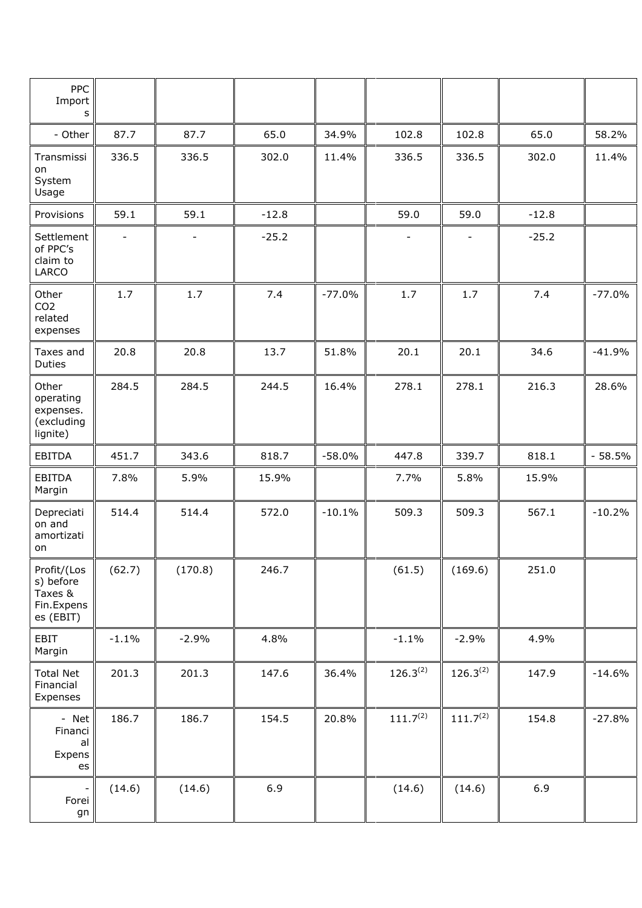| PPC<br>Import<br>s                                             |                          |                |         |          |                          |                          |         |          |
|----------------------------------------------------------------|--------------------------|----------------|---------|----------|--------------------------|--------------------------|---------|----------|
| - Other                                                        | 87.7                     | 87.7           | 65.0    | 34.9%    | 102.8                    | 102.8                    | 65.0    | 58.2%    |
| Transmissi<br>on<br>System<br>Usage                            | 336.5                    | 336.5          | 302.0   | 11.4%    | 336.5                    | 336.5                    | 302.0   | 11.4%    |
| Provisions                                                     | 59.1                     | 59.1           | $-12.8$ |          | 59.0                     | 59.0                     | $-12.8$ |          |
| Settlement<br>of PPC's<br>claim to<br><b>LARCO</b>             | $\overline{\phantom{a}}$ | $\overline{a}$ | $-25.2$ |          | $\overline{\phantom{a}}$ | $\overline{\phantom{a}}$ | $-25.2$ |          |
| Other<br>CO <sub>2</sub><br>related<br>expenses                | 1.7                      | 1.7            | 7.4     | $-77.0%$ | 1.7                      | 1.7                      | 7.4     | $-77.0%$ |
| Taxes and<br>Duties                                            | 20.8                     | 20.8           | 13.7    | 51.8%    | 20.1                     | 20.1                     | 34.6    | $-41.9%$ |
| Other<br>operating<br>expenses.<br>(excluding<br>lignite)      | 284.5                    | 284.5          | 244.5   | 16.4%    | 278.1                    | 278.1                    | 216.3   | 28.6%    |
| <b>EBITDA</b>                                                  | 451.7                    | 343.6          | 818.7   | $-58.0%$ | 447.8                    | 339.7                    | 818.1   | $-58.5%$ |
| <b>EBITDA</b><br>Margin                                        | 7.8%                     | 5.9%           | 15.9%   |          | 7.7%                     | 5.8%                     | 15.9%   |          |
| Depreciati<br>on and<br>amortizati<br>on                       | 514.4                    | 514.4          | 572.0   | $-10.1%$ | 509.3                    | 509.3                    | 567.1   | $-10.2%$ |
| Profit/(Los<br>s) before<br>Taxes &<br>Fin.Expens<br>es (EBIT) | (62.7)                   | (170.8)        | 246.7   |          | (61.5)                   | (169.6)                  | 251.0   |          |
| EBIT<br>Margin                                                 | $-1.1%$                  | $-2.9%$        | 4.8%    |          | $-1.1%$                  | $-2.9%$                  | 4.9%    |          |
| <b>Total Net</b><br>Financial<br>Expenses                      | 201.3                    | 201.3          | 147.6   | 36.4%    | $126.3^{(2)}$            | $126.3^{(2)}$            | 147.9   | $-14.6%$ |
| - Net<br>Financi<br>al<br>Expens<br>es                         | 186.7                    | 186.7          | 154.5   | 20.8%    | 111.7 <sup>(2)</sup>     | 111.7 <sup>(2)</sup>     | 154.8   | $-27.8%$ |
| Forei<br>gn                                                    | (14.6)                   | (14.6)         | 6.9     |          | (14.6)                   | (14.6)                   | 6.9     |          |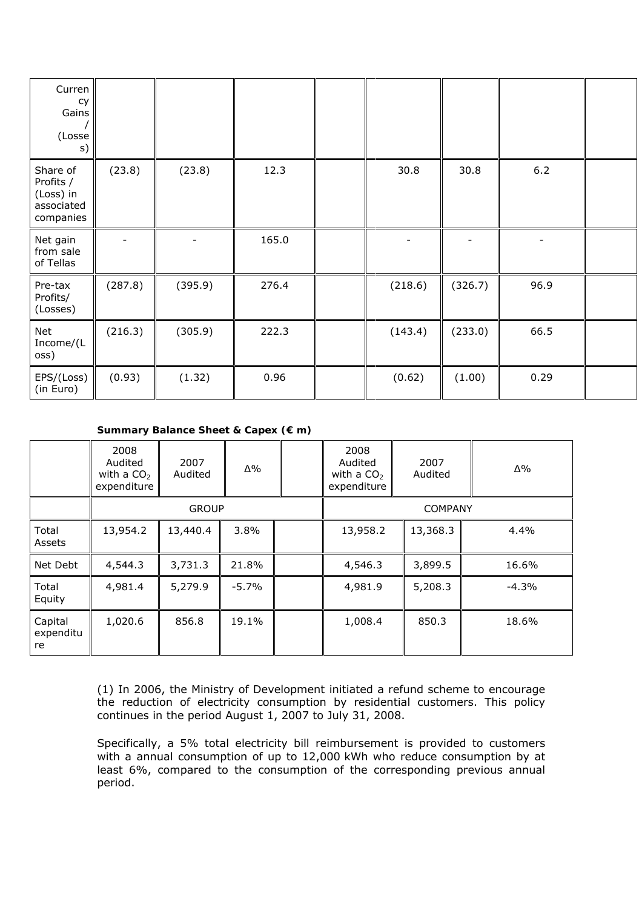| Curren<br>cy<br>Gains<br>(Losse<br>s)                         |         |         |       |         |         |       |  |
|---------------------------------------------------------------|---------|---------|-------|---------|---------|-------|--|
| Share of<br>Profits /<br>(Loss) in<br>associated<br>companies | (23.8)  | (23.8)  | 12.3  | 30.8    | 30.8    | $6.2$ |  |
| Net gain<br>from sale<br>of Tellas                            |         |         | 165.0 |         |         |       |  |
| Pre-tax<br>Profits/<br>(Losses)                               | (287.8) | (395.9) | 276.4 | (218.6) | (326.7) | 96.9  |  |
| Net<br>Income/(L<br>oss)                                      | (216.3) | (305.9) | 222.3 | (143.4) | (233.0) | 66.5  |  |
| EPS/(Loss)<br>(in Euro)                                       | (0.93)  | (1.32)  | 0.96  | (0.62)  | (1.00)  | 0.29  |  |

## **Summary Balance Sheet & Capex (€ m)**

|                            | 2008<br>Audited<br>with a $CO2$<br>expenditure | 2007<br>Audited | $\Delta\%$ | 2008<br>Audited<br>with a $CO2$<br>expenditure | 2007<br>Audited | $\Delta\%$ |  |
|----------------------------|------------------------------------------------|-----------------|------------|------------------------------------------------|-----------------|------------|--|
|                            |                                                | <b>GROUP</b>    |            | <b>COMPANY</b>                                 |                 |            |  |
| Total<br>Assets            | 13,954.2                                       | 13,440.4        | $3.8\%$    | 13,958.2                                       | 13,368.3        | 4.4%       |  |
| Net Debt                   | 4,544.3                                        | 3,731.3         | 21.8%      | 4,546.3                                        | 3,899.5         | 16.6%      |  |
| Total<br>Equity            | 4,981.4                                        | 5,279.9         | $-5.7\%$   | 4,981.9                                        | 5,208.3         | $-4.3%$    |  |
| Capital<br>expenditu<br>re | 1,020.6                                        | 856.8           | 19.1%      | 1,008.4                                        | 850.3           | 18.6%      |  |

(1) In 2006, the Ministry of Development initiated a refund scheme to encourage the reduction of electricity consumption by residential customers. This policy continues in the period August 1, 2007 to July 31, 2008.

Specifically, a 5% total electricity bill reimbursement is provided to customers with a annual consumption of up to 12,000 kWh who reduce consumption by at least 6%, compared to the consumption of the corresponding previous annual period.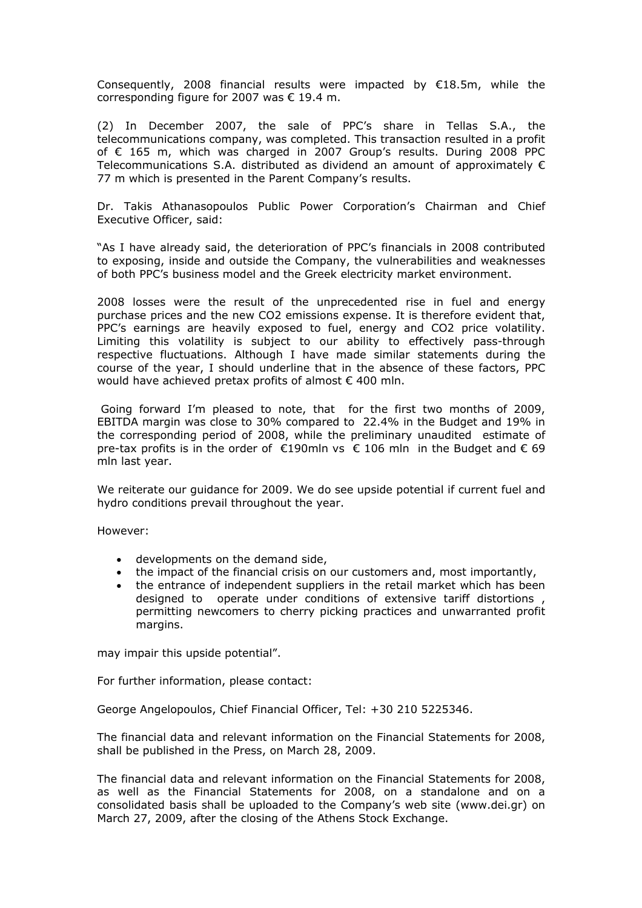Consequently, 2008 financial results were impacted by  $£18.5m$ , while the corresponding figure for 2007 was € 19.4 m.

(2) In December 2007, the sale of PPC's share in Tellas S.A., the telecommunications company, was completed. This transaction resulted in a profit of € 165 m, which was charged in 2007 Group's results. During 2008 PPC Telecommunications S.A. distributed as dividend an amount of approximately  $\epsilon$ 77 m which is presented in the Parent Company's results.

Dr. Takis Athanasopoulos Public Power Corporation's Chairman and Chief Executive Officer, said:

"As I have already said, the deterioration of PPC's financials in 2008 contributed to exposing, inside and outside the Company, the vulnerabilities and weaknesses of both PPC's business model and the Greek electricity market environment.

2008 losses were the result of the unprecedented rise in fuel and energy purchase prices and the new CO2 emissions expense. It is therefore evident that, PPC's earnings are heavily exposed to fuel, energy and CO2 price volatility. Limiting this volatility is subject to our ability to effectively pass-through respective fluctuations. Although I have made similar statements during the course of the year, I should underline that in the absence of these factors, PPC would have achieved pretax profits of almost  $\epsilon$  400 mln.

 Going forward I'm pleased to note, that for the first two months of 2009, EBITDA margin was close to 30% compared to 22.4% in the Budget and 19% in the corresponding period of 2008, while the preliminary unaudited estimate of pre-tax profits is in the order of  $\epsilon$ 190mln vs  $\epsilon$  106 mln in the Budget and  $\epsilon$  69 mln last year.

We reiterate our guidance for 2009. We do see upside potential if current fuel and hydro conditions prevail throughout the year.

However:

- developments on the demand side,
- the impact of the financial crisis on our customers and, most importantly,
- the entrance of independent suppliers in the retail market which has been designed to operate under conditions of extensive tariff distortions , permitting newcomers to cherry picking practices and unwarranted profit margins.

may impair this upside potential".

For further information, please contact:

George Angelopoulos, Chief Financial Officer, Tel: +30 210 5225346.

The financial data and relevant information on the Financial Statements for 2008, shall be published in the Press, on March 28, 2009.

The financial data and relevant information on the Financial Statements for 2008, as well as the Financial Statements for 2008, on a standalone and on a consolidated basis shall be uploaded to the Company's web site ([www.dei.gr](http://www.dei.gr/)) on March 27, 2009, after the closing of the Athens Stock Exchange.